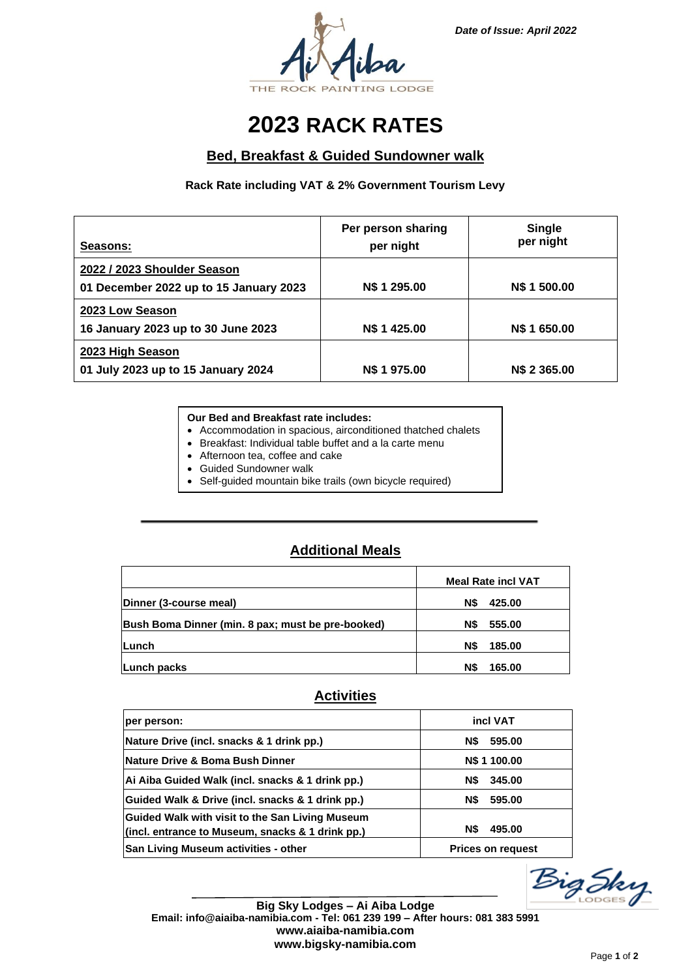

## **2023 RACK RATES**

### **Bed, Breakfast & Guided Sundowner walk**

### **Rack Rate including VAT & 2% Government Tourism Levy**

| Seasons:                                                              | Per person sharing<br>per night | Single<br>per night |
|-----------------------------------------------------------------------|---------------------------------|---------------------|
| 2022 / 2023 Shoulder Season<br>01 December 2022 up to 15 January 2023 | <b>N\$ 1 295.00</b>             | N\$ 1 500.00        |
| 2023 Low Season<br>16 January 2023 up to 30 June 2023                 | <b>N\$ 1 425.00</b>             | N\$ 1 650,00        |
| 2023 High Season<br>01 July 2023 up to 15 January 2024                | <b>N\$ 1 975.00</b>             | N\$ 2 365,00        |

#### **Our Bed and Breakfast rate includes:**

- Accommodation in spacious, airconditioned thatched chalets
- Breakfast: Individual table buffet and a la carte menu
- Afternoon tea, coffee and cake
- Guided Sundowner walk
- Self-guided mountain bike trails (own bicycle required)

## **Additional Meals**

|                                                   | <b>Meal Rate incl VAT</b> |
|---------------------------------------------------|---------------------------|
| Dinner (3-course meal)                            | N\$<br>425.00             |
| Bush Boma Dinner (min. 8 pax; must be pre-booked) | 555.00<br>N\$             |
| <b>ILunch</b>                                     | N\$<br>185.00             |
| Lunch packs                                       | N\$<br>165.00             |

### **Activities**

| per person:                                                                                         | incl VAT                 |
|-----------------------------------------------------------------------------------------------------|--------------------------|
| Nature Drive (incl. snacks & 1 drink pp.)                                                           | N\$<br>595.00            |
| Nature Drive & Boma Bush Dinner                                                                     | N\$ 1 100.00             |
| Ai Aiba Guided Walk (incl. snacks & 1 drink pp.)                                                    | 345.00<br>N\$            |
| Guided Walk & Drive (incl. snacks & 1 drink pp.)                                                    | N\$<br>595.00            |
| Guided Walk with visit to the San Living Museum<br>(incl. entrance to Museum, snacks & 1 drink pp.) | N\$<br>495.00            |
| San Living Museum activities - other                                                                | <b>Prices on request</b> |



**Big Sky Lodges – Ai Aiba Lodge Email: info@aiaiba-namibia.com - Tel: 061 239 199 – After hours: 081 383 5991 www.aiaiba-namibia.com www.bigsky-namibia.com**